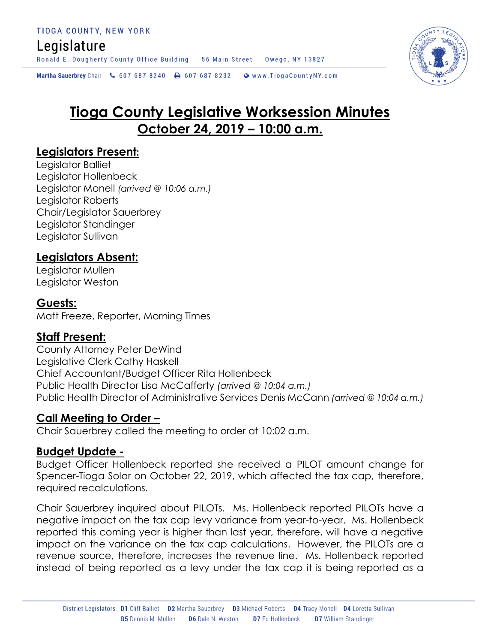### Legislature

Ronald E. Dougherty County Office Building 56 Main Street Owego, NY 13827

Martha Sauerbrey Chair & 607 687 8240 <a>B</a>607 687 8232 <a>B</a>Www.TiogaCountyNY.com

# **Tioga County Legislative Worksession Minutes October 24, 2019 – 10:00 a.m.**

#### **Legislators Present:**

Legislator Balliet Legislator Hollenbeck Legislator Monell *(arrived @ 10:06 a.m.)* Legislator Roberts Chair/Legislator Sauerbrey Legislator Standinger Legislator Sullivan

### **Legislators Absent:**

Legislator Mullen Legislator Weston

#### **Guests:**

Matt Freeze, Reporter, Morning Times

### **Staff Present:**

County Attorney Peter DeWind Legislative Clerk Cathy Haskell Chief Accountant/Budget Officer Rita Hollenbeck Public Health Director Lisa McCafferty *(arrived @ 10:04 a.m.)* Public Health Director of Administrative Services Denis McCann *(arrived @ 10:04 a.m.)*

#### **Call Meeting to Order –**

Chair Sauerbrey called the meeting to order at 10:02 a.m.

#### **Budget Update -**

Budget Officer Hollenbeck reported she received a PILOT amount change for Spencer-Tioga Solar on October 22, 2019, which affected the tax cap, therefore, required recalculations.

Chair Sauerbrey inquired about PILOTs. Ms. Hollenbeck reported PILOTs have a negative impact on the tax cap levy variance from year-to-year. Ms. Hollenbeck reported this coming year is higher than last year, therefore, will have a negative impact on the variance on the tax cap calculations. However, the PILOTs are a revenue source, therefore, increases the revenue line. Ms. Hollenbeck reported instead of being reported as a levy under the tax cap it is being reported as a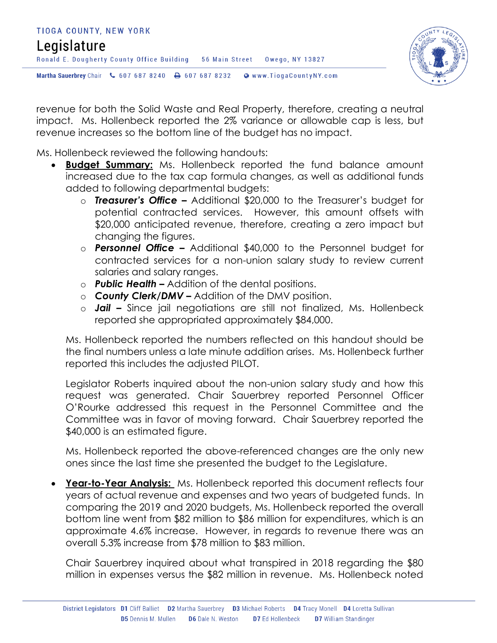## TIOGA COUNTY, NEW YORK Legislature Ronald E. Dougherty County Office Building 56 Main Street Owego, NY 13827 Martha Sauerbrey Chair & 607 687 8240 A 607 687 8232 @ www.TiogaCountyNY.com



revenue for both the Solid Waste and Real Property, therefore, creating a neutral impact. Ms. Hollenbeck reported the 2% variance or allowable cap is less, but revenue increases so the bottom line of the budget has no impact.

Ms. Hollenbeck reviewed the following handouts:

- **Budget Summary:** Ms. Hollenbeck reported the fund balance amount increased due to the tax cap formula changes, as well as additional funds added to following departmental budgets:
	- o *Treasurer's Office –* Additional \$20,000 to the Treasurer's budget for potential contracted services. However, this amount offsets with \$20,000 anticipated revenue, therefore, creating a zero impact but changing the figures.
	- o *Personnel Office –* Additional \$40,000 to the Personnel budget for contracted services for a non-union salary study to review current salaries and salary ranges.
	- o *Public Health –* Addition of the dental positions.
	- o *County Clerk/DMV –* Addition of the DMV position.
	- o *Jail –* Since jail negotiations are still not finalized, Ms. Hollenbeck reported she appropriated approximately \$84,000.

Ms. Hollenbeck reported the numbers reflected on this handout should be the final numbers unless a late minute addition arises. Ms. Hollenbeck further reported this includes the adjusted PILOT.

Legislator Roberts inquired about the non-union salary study and how this request was generated. Chair Sauerbrey reported Personnel Officer O'Rourke addressed this request in the Personnel Committee and the Committee was in favor of moving forward. Chair Sauerbrey reported the \$40,000 is an estimated figure.

Ms. Hollenbeck reported the above-referenced changes are the only new ones since the last time she presented the budget to the Legislature.

 **Year-to-Year Analysis:** Ms. Hollenbeck reported this document reflects four years of actual revenue and expenses and two years of budgeted funds. In comparing the 2019 and 2020 budgets, Ms. Hollenbeck reported the overall bottom line went from \$82 million to \$86 million for expenditures, which is an approximate 4.6% increase. However, in regards to revenue there was an overall 5.3% increase from \$78 million to \$83 million.

Chair Sauerbrey inquired about what transpired in 2018 regarding the \$80 million in expenses versus the \$82 million in revenue. Ms. Hollenbeck noted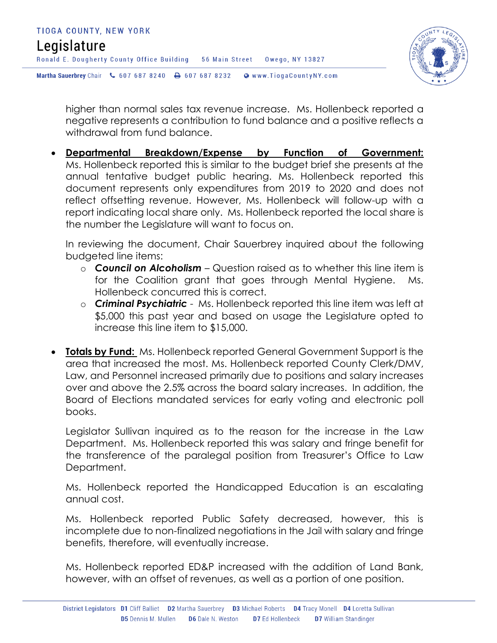

higher than normal sales tax revenue increase. Ms. Hollenbeck reported a negative represents a contribution to fund balance and a positive reflects a withdrawal from fund balance.

 **Departmental Breakdown/Expense by Function of Government:**  Ms. Hollenbeck reported this is similar to the budget brief she presents at the annual tentative budget public hearing. Ms. Hollenbeck reported this document represents only expenditures from 2019 to 2020 and does not reflect offsetting revenue. However, Ms. Hollenbeck will follow-up with a report indicating local share only. Ms. Hollenbeck reported the local share is the number the Legislature will want to focus on.

In reviewing the document, Chair Sauerbrey inquired about the following budgeted line items:

- o *Council on Alcoholism* Question raised as to whether this line item is for the Coalition grant that goes through Mental Hygiene. Ms. Hollenbeck concurred this is correct.
- o *Criminal Psychiatric*  Ms. Hollenbeck reported this line item was left at \$5,000 this past year and based on usage the Legislature opted to increase this line item to \$15,000.
- **Totals by Fund:** Ms. Hollenbeck reported General Government Support is the area that increased the most. Ms. Hollenbeck reported County Clerk/DMV, Law, and Personnel increased primarily due to positions and salary increases over and above the 2.5% across the board salary increases. In addition, the Board of Elections mandated services for early voting and electronic poll books.

Legislator Sullivan inquired as to the reason for the increase in the Law Department. Ms. Hollenbeck reported this was salary and fringe benefit for the transference of the paralegal position from Treasurer's Office to Law Department.

Ms. Hollenbeck reported the Handicapped Education is an escalating annual cost.

Ms. Hollenbeck reported Public Safety decreased, however, this is incomplete due to non-finalized negotiations in the Jail with salary and fringe benefits, therefore, will eventually increase.

Ms. Hollenbeck reported ED&P increased with the addition of Land Bank, however, with an offset of revenues, as well as a portion of one position.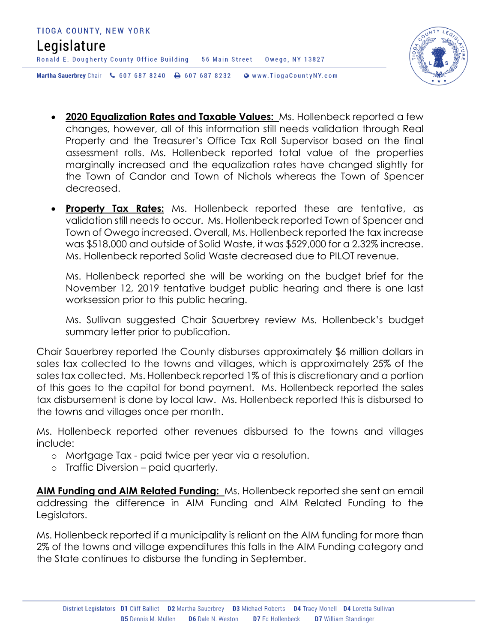

- **2020 Equalization Rates and Taxable Values:** Ms. Hollenbeck reported a few changes, however, all of this information still needs validation through Real Property and the Treasurer's Office Tax Roll Supervisor based on the final assessment rolls. Ms. Hollenbeck reported total value of the properties marginally increased and the equalization rates have changed slightly for the Town of Candor and Town of Nichols whereas the Town of Spencer decreased.
- **Property Tax Rates:** Ms. Hollenbeck reported these are tentative, as validation still needs to occur. Ms. Hollenbeck reported Town of Spencer and Town of Owego increased. Overall, Ms. Hollenbeck reported the tax increase was \$518,000 and outside of Solid Waste, it was \$529,000 for a 2.32% increase. Ms. Hollenbeck reported Solid Waste decreased due to PILOT revenue.

Ms. Hollenbeck reported she will be working on the budget brief for the November 12, 2019 tentative budget public hearing and there is one last worksession prior to this public hearing.

Ms. Sullivan suggested Chair Sauerbrey review Ms. Hollenbeck's budget summary letter prior to publication.

Chair Sauerbrey reported the County disburses approximately \$6 million dollars in sales tax collected to the towns and villages, which is approximately 25% of the sales tax collected. Ms. Hollenbeck reported 1% of this is discretionary and a portion of this goes to the capital for bond payment. Ms. Hollenbeck reported the sales tax disbursement is done by local law. Ms. Hollenbeck reported this is disbursed to the towns and villages once per month.

Ms. Hollenbeck reported other revenues disbursed to the towns and villages include:

- o Mortgage Tax paid twice per year via a resolution.
- o Traffic Diversion paid quarterly.

**AIM Funding and AIM Related Funding:** Ms. Hollenbeck reported she sent an email addressing the difference in AIM Funding and AIM Related Funding to the Legislators.

Ms. Hollenbeck reported if a municipality is reliant on the AIM funding for more than 2% of the towns and village expenditures this falls in the AIM Funding category and the State continues to disburse the funding in September.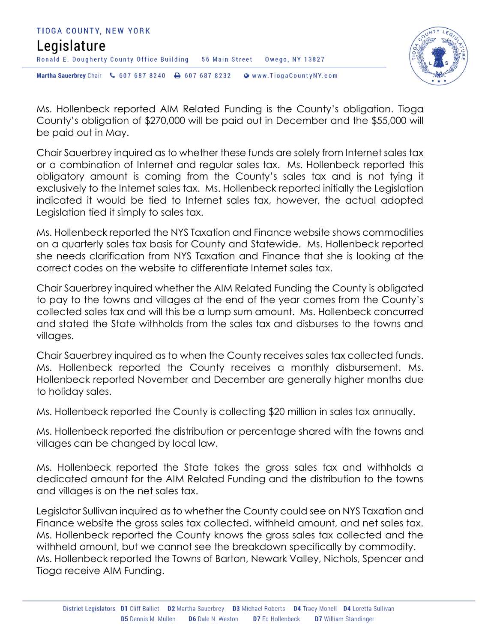



Ms. Hollenbeck reported AIM Related Funding is the County's obligation. Tioga County's obligation of \$270,000 will be paid out in December and the \$55,000 will be paid out in May.

Chair Sauerbrey inquired as to whether these funds are solely from Internet sales tax or a combination of Internet and regular sales tax. Ms. Hollenbeck reported this obligatory amount is coming from the County's sales tax and is not tying it exclusively to the Internet sales tax. Ms. Hollenbeck reported initially the Legislation indicated it would be tied to Internet sales tax, however, the actual adopted Legislation tied it simply to sales tax.

Ms. Hollenbeck reported the NYS Taxation and Finance website shows commodities on a quarterly sales tax basis for County and Statewide. Ms. Hollenbeck reported she needs clarification from NYS Taxation and Finance that she is looking at the correct codes on the website to differentiate Internet sales tax.

Chair Sauerbrey inquired whether the AIM Related Funding the County is obligated to pay to the towns and villages at the end of the year comes from the County's collected sales tax and will this be a lump sum amount. Ms. Hollenbeck concurred and stated the State withholds from the sales tax and disburses to the towns and villages.

Chair Sauerbrey inquired as to when the County receives sales tax collected funds. Ms. Hollenbeck reported the County receives a monthly disbursement. Ms. Hollenbeck reported November and December are generally higher months due to holiday sales.

Ms. Hollenbeck reported the County is collecting \$20 million in sales tax annually.

Ms. Hollenbeck reported the distribution or percentage shared with the towns and villages can be changed by local law.

Ms. Hollenbeck reported the State takes the gross sales tax and withholds a dedicated amount for the AIM Related Funding and the distribution to the towns and villages is on the net sales tax.

Legislator Sullivan inquired as to whether the County could see on NYS Taxation and Finance website the gross sales tax collected, withheld amount, and net sales tax. Ms. Hollenbeck reported the County knows the gross sales tax collected and the withheld amount, but we cannot see the breakdown specifically by commodity. Ms. Hollenbeck reported the Towns of Barton, Newark Valley, Nichols, Spencer and Tioga receive AIM Funding.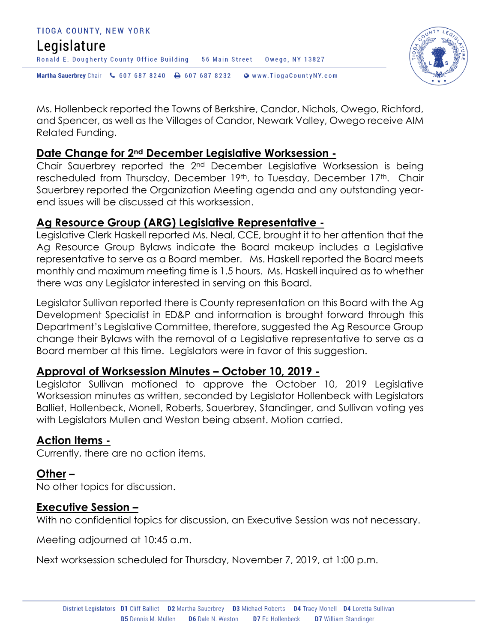

Ms. Hollenbeck reported the Towns of Berkshire, Candor, Nichols, Owego, Richford, and Spencer, as well as the Villages of Candor, Newark Valley, Owego receive AIM Related Funding.

#### **Date Change for 2nd December Legislative Worksession -**

Chair Sauerbrey reported the 2nd December Legislative Worksession is being rescheduled from Thursday, December 19th, to Tuesday, December 17th. Chair Sauerbrey reported the Organization Meeting agenda and any outstanding yearend issues will be discussed at this worksession.

### **Ag Resource Group (ARG) Legislative Representative -**

Legislative Clerk Haskell reported Ms. Neal, CCE, brought it to her attention that the Ag Resource Group Bylaws indicate the Board makeup includes a Legislative representative to serve as a Board member. Ms. Haskell reported the Board meets monthly and maximum meeting time is 1.5 hours. Ms. Haskell inquired as to whether there was any Legislator interested in serving on this Board.

Legislator Sullivan reported there is County representation on this Board with the Ag Development Specialist in ED&P and information is brought forward through this Department's Legislative Committee, therefore, suggested the Ag Resource Group change their Bylaws with the removal of a Legislative representative to serve as a Board member at this time. Legislators were in favor of this suggestion.

### **Approval of Worksession Minutes – October 10, 2019 -**

Legislator Sullivan motioned to approve the October 10, 2019 Legislative Worksession minutes as written, seconded by Legislator Hollenbeck with Legislators Balliet, Hollenbeck, Monell, Roberts, Sauerbrey, Standinger, and Sullivan voting yes with Legislators Mullen and Weston being absent. Motion carried.

### **Action Items -**

Currently, there are no action items.

### **Other –**

No other topics for discussion.

### **Executive Session –**

With no confidential topics for discussion, an Executive Session was not necessary.

Meeting adjourned at 10:45 a.m.

Next worksession scheduled for Thursday, November 7, 2019, at 1:00 p.m.